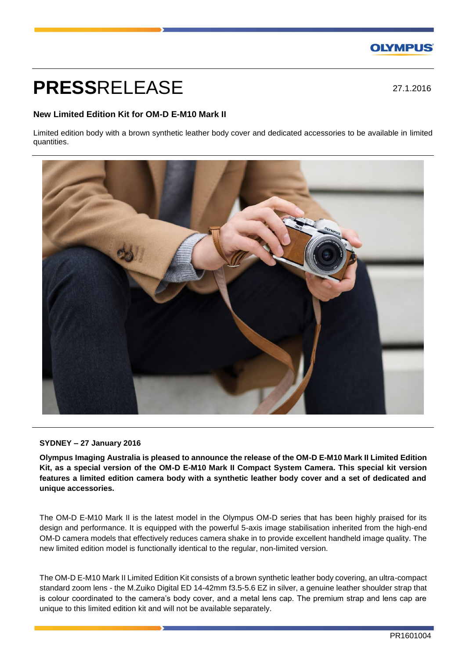## **OLYMPUS**

# **PRESS**RELEASE

27.1.2016

### **New Limited Edition Kit for OM-D E-M10 Mark II**

Limited edition body with a brown synthetic leather body cover and dedicated accessories to be available in limited quantities.



#### **SYDNEY – 27 January 2016**

**Olympus Imaging Australia is pleased to announce the release of the OM-D E-M10 Mark II Limited Edition Kit, as a special version of the OM-D E-M10 Mark II Compact System Camera. This special kit version features a limited edition camera body with a synthetic leather body cover and a set of dedicated and unique accessories.**

The OM-D E-M10 Mark II is the latest model in the Olympus OM-D series that has been highly praised for its design and performance. It is equipped with the powerful 5-axis image stabilisation inherited from the high-end OM-D camera models that effectively reduces camera shake in to provide excellent handheld image quality. The new limited edition model is functionally identical to the regular, non-limited version.

The OM-D E-M10 Mark II Limited Edition Kit consists of a brown synthetic leather body covering, an ultra-compact standard zoom lens - the M.Zuiko Digital ED 14-42mm f3.5-5.6 EZ in silver, a genuine leather shoulder strap that is colour coordinated to the camera's body cover, and a metal lens cap. The premium strap and lens cap are unique to this limited edition kit and will not be available separately.